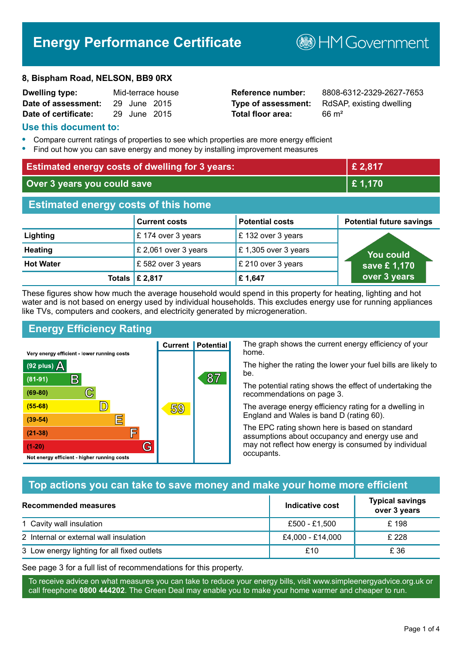# **Energy Performance Certificate**

#### **8, Bispham Road, NELSON, BB9 0RX**

| <b>Dwelling type:</b> |              | Mid-terrace house |
|-----------------------|--------------|-------------------|
| Date of assessment:   | 29 June 2015 |                   |
| Date of certificate:  | 29 June 2015 |                   |

# **Total floor area:** 66 m<sup>2</sup>

**Reference number:** 8808-6312-2329-2627-7653 **Type of assessment:** RdSAP, existing dwelling

**B**HM Government

#### **Use this document to:**

- **•** Compare current ratings of properties to see which properties are more energy efficient
- **•** Find out how you can save energy and money by installing improvement measures

| <b>Estimated energy costs of dwelling for 3 years:</b> |                      |                        | £ 2,817                         |
|--------------------------------------------------------|----------------------|------------------------|---------------------------------|
| Over 3 years you could save                            |                      | £ 1,170                |                                 |
| <b>Estimated energy costs of this home</b>             |                      |                        |                                 |
|                                                        | <b>Current costs</b> | <b>Potential costs</b> | <b>Potential future savings</b> |
| Lighting                                               | £174 over 3 years    | £132 over 3 years      |                                 |
| <b>Heating</b>                                         | £ 2,061 over 3 years | £1,305 over 3 years    | You could                       |
| <b>Hot Water</b>                                       | £582 over 3 years    | £ 210 over 3 years     | save £1,170                     |
| Totals                                                 | £ 2,817              | £1,647                 | over 3 years                    |

These figures show how much the average household would spend in this property for heating, lighting and hot water and is not based on energy used by individual households. This excludes energy use for running appliances like TVs, computers and cookers, and electricity generated by microgeneration.

**Current | Potential** 

59

87

# **Energy Efficiency Rating**

 $\mathbb{C}$ 

 $\mathbb{D}$ 

E

庐

G

Very energy efficient - lower running costs

 $\mathsf{R}% _{T}$ 

Not energy efficient - higher running costs

(92 plus)  $\Delta$ 

 $(81 - 91)$  $(69 - 80)$ 

 $(55-68)$ 

 $(39 - 54)$ 

 $(21-38)$ 

 $(1-20)$ 

The graph shows the current energy efficiency of your home.

The higher the rating the lower your fuel bills are likely to be.

The potential rating shows the effect of undertaking the recommendations on page 3.

The average energy efficiency rating for a dwelling in England and Wales is band D (rating 60).

The EPC rating shown here is based on standard assumptions about occupancy and energy use and may not reflect how energy is consumed by individual occupants.

# **Top actions you can take to save money and make your home more efficient**

| Recommended measures                        | Indicative cost  | <b>Typical savings</b><br>over 3 years |
|---------------------------------------------|------------------|----------------------------------------|
| 1 Cavity wall insulation                    | £500 - £1,500    | £ 198                                  |
| 2 Internal or external wall insulation      | £4,000 - £14,000 | £ 228                                  |
| 3 Low energy lighting for all fixed outlets | £10              | £ 36                                   |

See page 3 for a full list of recommendations for this property.

To receive advice on what measures you can take to reduce your energy bills, visit www.simpleenergyadvice.org.uk or call freephone **0800 444202**. The Green Deal may enable you to make your home warmer and cheaper to run.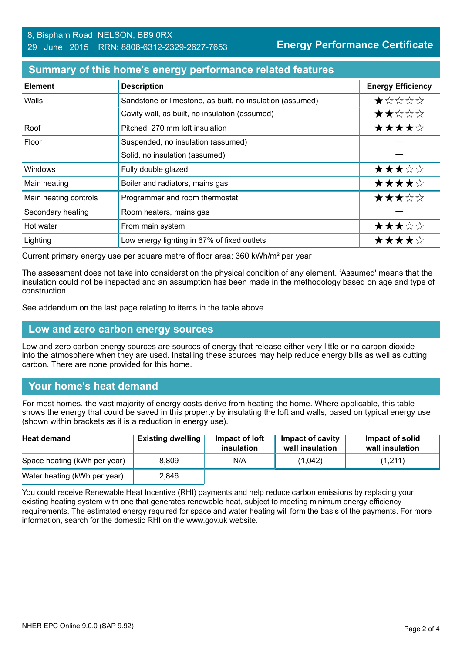#### **Summary of this home's energy performance related features**

| <b>Element</b>        | <b>Description</b>                                        | <b>Energy Efficiency</b> |
|-----------------------|-----------------------------------------------------------|--------------------------|
| Walls                 | Sandstone or limestone, as built, no insulation (assumed) | *****                    |
|                       | Cavity wall, as built, no insulation (assumed)            | ★★☆☆☆                    |
| Roof                  | Pitched, 270 mm loft insulation                           | ★★★★☆                    |
| Floor                 | Suspended, no insulation (assumed)                        |                          |
|                       | Solid, no insulation (assumed)                            |                          |
| <b>Windows</b>        | Fully double glazed                                       | ★★★☆☆                    |
| Main heating          | Boiler and radiators, mains gas                           | ★★★★☆                    |
| Main heating controls | Programmer and room thermostat                            | ★★★☆☆                    |
| Secondary heating     | Room heaters, mains gas                                   |                          |
| Hot water             | From main system                                          | ★★★☆☆                    |
| Lighting              | Low energy lighting in 67% of fixed outlets               | ★★★★☆                    |

Current primary energy use per square metre of floor area: 360 kWh/m² per year

The assessment does not take into consideration the physical condition of any element. 'Assumed' means that the insulation could not be inspected and an assumption has been made in the methodology based on age and type of construction.

See addendum on the last page relating to items in the table above.

#### **Low and zero carbon energy sources**

Low and zero carbon energy sources are sources of energy that release either very little or no carbon dioxide into the atmosphere when they are used. Installing these sources may help reduce energy bills as well as cutting carbon. There are none provided for this home.

#### **Your home's heat demand**

For most homes, the vast majority of energy costs derive from heating the home. Where applicable, this table shows the energy that could be saved in this property by insulating the loft and walls, based on typical energy use (shown within brackets as it is a reduction in energy use).

| <b>Heat demand</b>           | <b>Existing dwelling</b> | Impact of loft<br>insulation | Impact of cavity<br>wall insulation | Impact of solid<br>wall insulation |
|------------------------------|--------------------------|------------------------------|-------------------------------------|------------------------------------|
| Space heating (kWh per year) | 8.809                    | N/A                          | (1,042)                             | (1,211)                            |
| Water heating (kWh per year) | 2.846                    |                              |                                     |                                    |

You could receive Renewable Heat Incentive (RHI) payments and help reduce carbon emissions by replacing your existing heating system with one that generates renewable heat, subject to meeting minimum energy efficiency requirements. The estimated energy required for space and water heating will form the basis of the payments. For more information, search for the domestic RHI on the www.gov.uk website.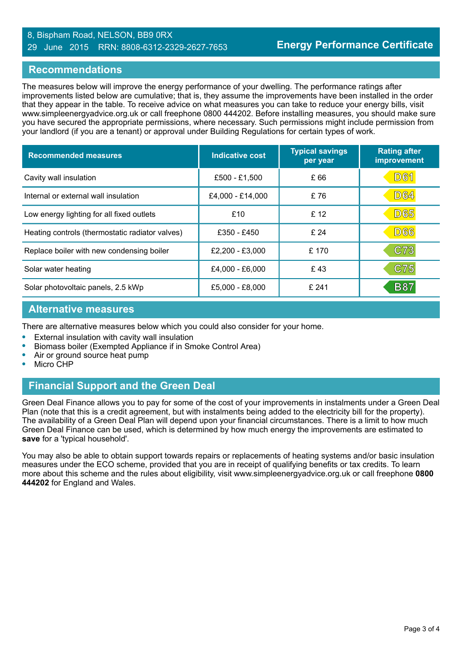#### 8, Bispham Road, NELSON, BB9 0RX 29 June 2015 RRN: 8808-6312-2329-2627-7653

#### **Recommendations**

The measures below will improve the energy performance of your dwelling. The performance ratings after improvements listed below are cumulative; that is, they assume the improvements have been installed in the order that they appear in the table. To receive advice on what measures you can take to reduce your energy bills, visit www.simpleenergyadvice.org.uk or call freephone 0800 444202. Before installing measures, you should make sure you have secured the appropriate permissions, where necessary. Such permissions might include permission from your landlord (if you are a tenant) or approval under Building Regulations for certain types of work.

| <b>Recommended measures</b>                     | <b>Indicative cost</b> | <b>Typical savings</b><br>per year | <b>Rating after</b><br>improvement |
|-------------------------------------------------|------------------------|------------------------------------|------------------------------------|
| Cavity wall insulation                          | £500 - £1,500          | £ 66                               | <b>D61</b>                         |
| Internal or external wall insulation            | £4,000 - £14,000       | £76                                | <b>D64</b>                         |
| Low energy lighting for all fixed outlets       | £10                    | £ 12                               | <b>D65</b>                         |
| Heating controls (thermostatic radiator valves) | £350 - £450            | £24                                | <b>D66</b>                         |
| Replace boiler with new condensing boiler       | $£2,200 - £3,000$      | £ 170                              | C73                                |
| Solar water heating                             | £4,000 - £6,000        | £43                                | C75                                |
| Solar photovoltaic panels, 2.5 kWp              | £5,000 - £8,000        | £241                               | <b>B87</b>                         |

#### **Alternative measures**

There are alternative measures below which you could also consider for your home.

- **•** External insulation with cavity wall insulation
- **•** Biomass boiler (Exempted Appliance if in Smoke Control Area)
- **•** Air or ground source heat pump
- **•** Micro CHP

## **Financial Support and the Green Deal**

Green Deal Finance allows you to pay for some of the cost of your improvements in instalments under a Green Deal Plan (note that this is a credit agreement, but with instalments being added to the electricity bill for the property). The availability of a Green Deal Plan will depend upon your financial circumstances. There is a limit to how much Green Deal Finance can be used, which is determined by how much energy the improvements are estimated to **save** for a 'typical household'.

You may also be able to obtain support towards repairs or replacements of heating systems and/or basic insulation measures under the ECO scheme, provided that you are in receipt of qualifying benefits or tax credits. To learn more about this scheme and the rules about eligibility, visit www.simpleenergyadvice.org.uk or call freephone **0800 444202** for England and Wales.